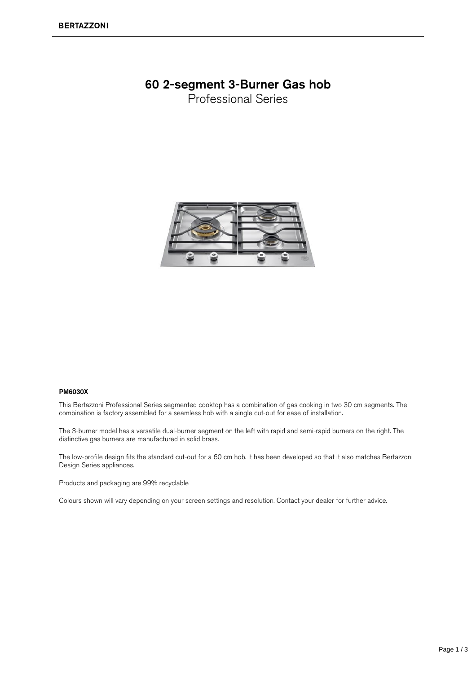## 60 2-segment 3-Burner Gas hob

Professional Series



## PM6030X

This Bertazzoni Professional Series segmented cooktop has a combination of gas cooking in two 30 cm segments. The combination is factory assembled for a seamless hob with a single cut-out for ease of installation.

The 3-burner model has a versatile dual-burner segment on the left with rapid and semi-rapid burners on the right. The distinctive gas burners are manufactured in solid brass.

The low-profile design fits the standard cut-out for a 60 cm hob. It has been developed so that it also matches Bertazzoni Design Series appliances.

Products and packaging are 99% recyclable

Colours shown will vary depending on your screen settings and resolution. Contact your dealer for further advice.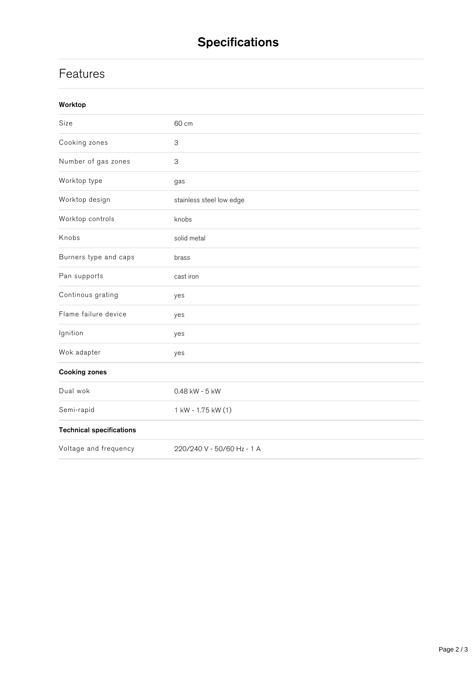## **Features**

| Size                            | 60 cm                      |
|---------------------------------|----------------------------|
| Cooking zones                   | 3                          |
| Number of gas zones             | $\ensuremath{\mathsf{3}}$  |
| Worktop type                    | gas                        |
| Worktop design                  | stainless steel low edge   |
| Worktop controls                | knobs                      |
| Knobs                           | solid metal                |
| Burners type and caps           | brass                      |
| Pan supports                    | cast iron                  |
| Continous grating               | yes                        |
| Flame failure device            | yes                        |
| Ignition                        | yes                        |
| Wok adapter                     | yes                        |
| <b>Cooking zones</b>            |                            |
| Dual wok                        | 0.48 kW - 5 kW             |
| Semi-rapid                      | 1 kW - 1.75 kW (1)         |
| <b>Technical specifications</b> |                            |
| Voltage and frequency           | 220/240 V - 50/60 Hz - 1 A |